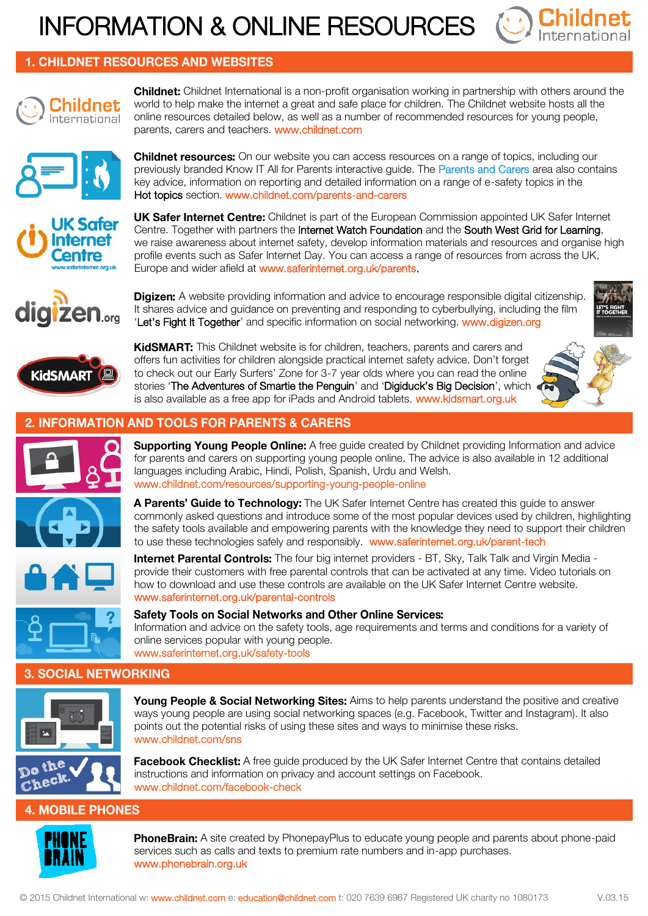# INFORMATION & ONLINE RESOURCES



## **1. CHILDNET RESOURCES AND WEBSITES**



**Childnet:** Childnet International is a non-profit organisation working in partnership with others around the world to help make the internet a great and safe place for children. The Childnet website hosts all the online resources detailed below, as well as a number of recommended resources for young people, parents, carers and teachers. www.childnet.com



**Childnet resources:** On our website you can access resources on a range of topics, including our previously branded Know IT All for Parents interactive guide. The Parents and Carers area also contains key advice, information on reporting and detailed information on a range of e-safety topics in the Hot topics section. www.childnet.com/parents-and-carers



**UK Safer Internet Centre:** Childnet is part of the European Commission appointed UK Safer Internet Centre. Together with partners the Internet Watch Foundation and the South West Grid for Learning, we raise awareness about internet safety, develop information materials and resources and organise high profile events such as Safer Internet Day. You can access a range of resources from across the UK, Europe and wider afield at www.saferinternet.org.uk/parents.



**Digizen:** A website providing information and advice to encourage responsible digital citizenship. It shares advice and guidance on preventing and responding to cyberbullying, including the film 'Let's Fight It Together' and specific information on social networking. www.digizen.org



KidSMART: This Childnet website is for children, teachers, parents and carers and offers fun activities for children alongside practical internet safety advice. Don't forget to check out our Early Surfers' Zone for 3-7 year olds where you can read the online stories 'The Adventures of Smartie the Penguin' and 'Digiduck's Big Decision', which is also available as a free app for iPads and Android tablets. www.kidsmart.org.uk



### **INFORMATION AND TOOLS FOR PARENTS & CARERS**





**Supporting Young People Online:** A free guide created by Childnet providing Information and advice for parents and carers on supporting young people online. The advice is also available in 12 additional languages including Arabic, Hindi, Polish, Spanish, Urdu and Welsh. www.childnet.com/resources/supporting-young-people-online

A Parents' Guide to Technology: The UK Safer Internet Centre has created this guide to answer commonly asked questions and introduce some of the most popular devices used by children, highlighting the safety tools available and empowering parents with the knowledge they need to support their children to use these technologies safely and responsibly. www.saferinternet.org.uk/parent-tech





how to download and use these controls are available on the UK Safer Internet Centre website. www.saferinternet.org.uk/parental-controls

## **Safety Tools on Social Networks and Other Online Services:**

Information and advice on the safety tools, age requirements and terms and conditions for a variety of online services popular with young people. www.saferinternet.org.uk/safety-tools

**Internet Parental Controls:** The four big internet providers - BT, Sky, Talk Talk and Virgin Media provide their customers with free parental controls that can be activated at any time. Video tutorials on

#### **3. SOCIAL NETWORKING**



Young People & Social Networking Sites: Aims to help parents understand the positive and creative ways young people are using social networking spaces (e.g. Facebook, Twitter and Instagram). It also points out the potential risks of using these sites and ways to minimise these risks. www.childnet.com/sns

Facebook Checklist: A free guide produced by the UK Safer Internet Centre that contains detailed instructions and information on privacy and account settings on Facebook. www.childnet.com/facebook-check

# **4. MOBILE PHONES**



PhoneBrain: A site created by PhonepayPlus to educate young people and parents about phone-paid services such as calls and texts to premium rate numbers and in-app purchases. www.phonebrain.org.uk